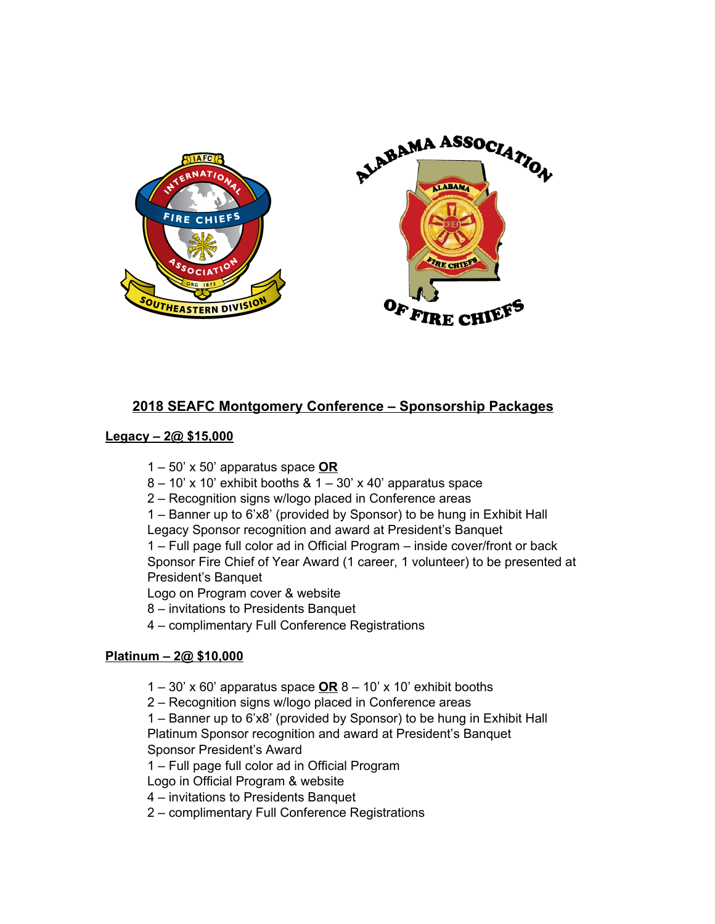

# **2018 SEAFC Montgomery Conference – Sponsorship Packages**

#### **Legacy – 2@ \$15,000**

- 1 50' x 50' apparatus space **OR**
- $8 10'$  x 10' exhibit booths &  $1 30'$  x 40' apparatus space
- 2 Recognition signs w/logo placed in Conference areas
- 1 Banner up to 6'x8' (provided by Sponsor) to be hung in Exhibit Hall Legacy Sponsor recognition and award at President's Banquet

1 – Full page full color ad in Official Program – inside cover/front or back Sponsor Fire Chief of Year Award (1 career, 1 volunteer) to be presented at President's Banquet

Logo on Program cover & website

- 8 invitations to Presidents Banquet
- 4 complimentary Full Conference Registrations

#### **Platinum – 2@ \$10,000**

- 1 30' x 60' apparatus space **OR** 8 10' x 10' exhibit booths
- 2 Recognition signs w/logo placed in Conference areas

1 – Banner up to 6'x8' (provided by Sponsor) to be hung in Exhibit Hall Platinum Sponsor recognition and award at President's Banquet Sponsor President's Award

1 – Full page full color ad in Official Program

Logo in Official Program & website

4 – invitations to Presidents Banquet

2 – complimentary Full Conference Registrations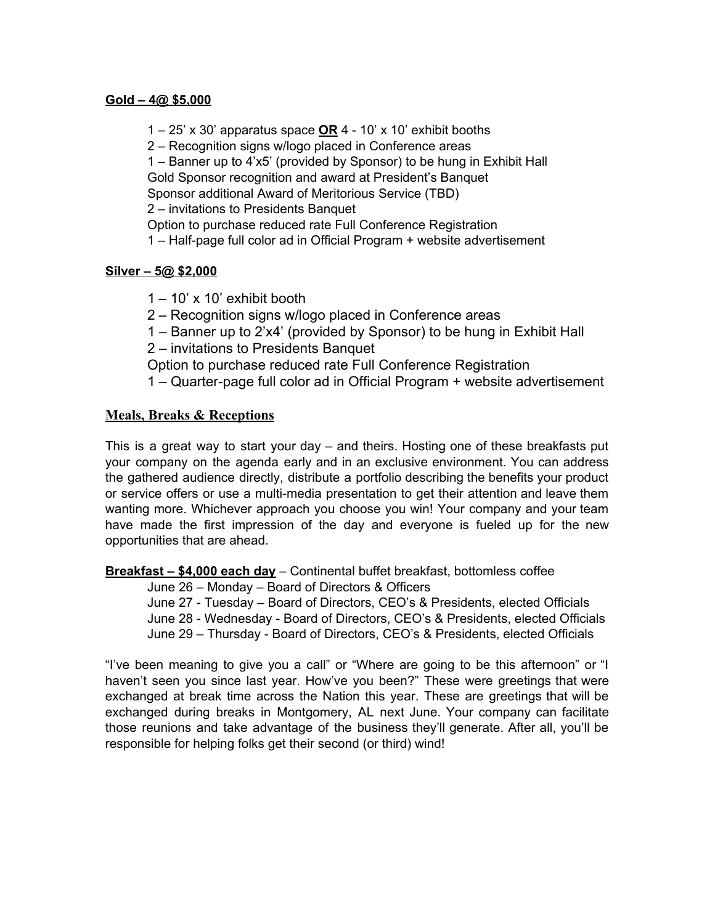#### **Gold – 4@ \$5,000**

1 – 25' x 30' apparatus space **OR** 4 - 10' x 10' exhibit booths

2 – Recognition signs w/logo placed in Conference areas

1 – Banner up to 4'x5' (provided by Sponsor) to be hung in Exhibit Hall Gold Sponsor recognition and award at President's Banquet

Sponsor additional Award of Meritorious Service (TBD)

2 – invitations to Presidents Banquet

Option to purchase reduced rate Full Conference Registration

1 – Half-page full color ad in Official Program + website advertisement

#### **Silver – 5@ \$2,000**

 $1 - 10'$  x 10' exhibit booth

2 – Recognition signs w/logo placed in Conference areas

1 – Banner up to 2'x4' (provided by Sponsor) to be hung in Exhibit Hall

2 – invitations to Presidents Banquet

Option to purchase reduced rate Full Conference Registration

1 – Quarter-page full color ad in Official Program + website advertisement

## **Meals, Breaks & Receptions**

This is a great way to start your day – and theirs. Hosting one of these breakfasts put your company on the agenda early and in an exclusive environment. You can address the gathered audience directly, distribute a portfolio describing the benefits your product or service offers or use a multi-media presentation to get their attention and leave them wanting more. Whichever approach you choose you win! Your company and your team have made the first impression of the day and everyone is fueled up for the new opportunities that are ahead.

**Breakfast – \$4,000 each day** – Continental buffet breakfast, bottomless coffee

June 26 – Monday – Board of Directors & Officers

June 27 - Tuesday – Board of Directors, CEO's & Presidents, elected Officials June 28 - Wednesday - Board of Directors, CEO's & Presidents, elected Officials June 29 – Thursday - Board of Directors, CEO's & Presidents, elected Officials

"I've been meaning to give you a call" or "Where are going to be this afternoon" or "I haven't seen you since last year. How've you been?" These were greetings that were exchanged at break time across the Nation this year. These are greetings that will be exchanged during breaks in Montgomery, AL next June. Your company can facilitate those reunions and take advantage of the business they'll generate. After all, you'll be responsible for helping folks get their second (or third) wind!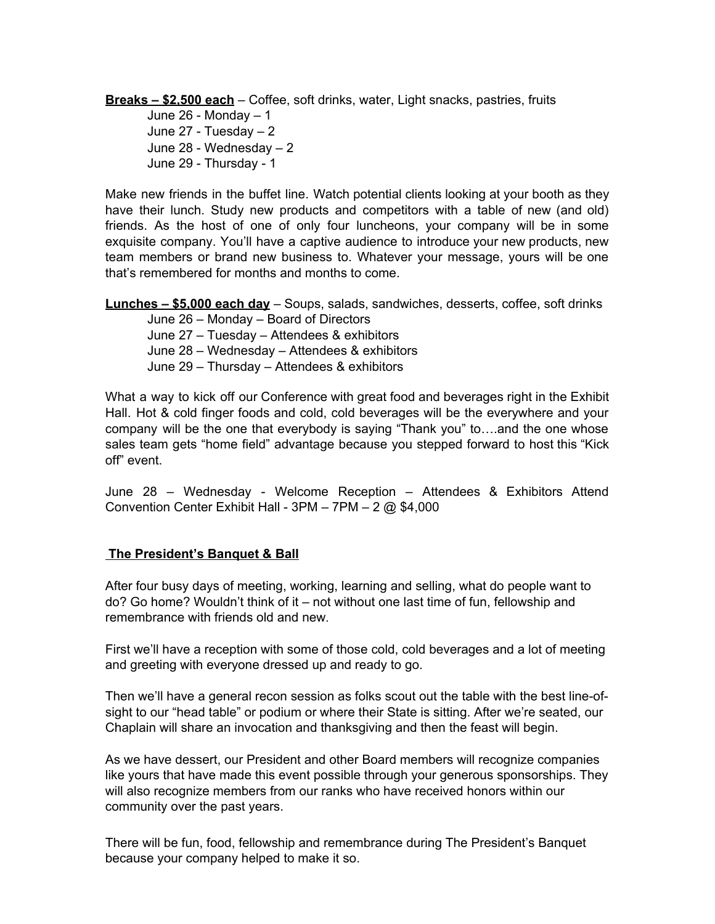**Breaks – \$2,500 each** – Coffee, soft drinks, water, Light snacks, pastries, fruits

June 26 - Monday – 1 June 27 - Tuesday – 2 June 28 - Wednesday – 2 June 29 - Thursday - 1

Make new friends in the buffet line. Watch potential clients looking at your booth as they have their lunch. Study new products and competitors with a table of new (and old) friends. As the host of one of only four luncheons, your company will be in some exquisite company. You'll have a captive audience to introduce your new products, new team members or brand new business to. Whatever your message, yours will be one that's remembered for months and months to come.

**Lunches – \$5,000 each day** – Soups, salads, sandwiches, desserts, coffee, soft drinks

June 26 – Monday – Board of Directors June 27 – Tuesday – Attendees & exhibitors June 28 – Wednesday – Attendees & exhibitors June 29 – Thursday – Attendees & exhibitors

What a way to kick off our Conference with great food and beverages right in the Exhibit Hall. Hot & cold finger foods and cold, cold beverages will be the everywhere and your company will be the one that everybody is saying "Thank you" to….and the one whose sales team gets "home field" advantage because you stepped forward to host this "Kick off" event.

June 28 – Wednesday - Welcome Reception – Attendees & Exhibitors Attend Convention Center Exhibit Hall - 3PM – 7PM – 2 @ \$4,000

# **The President's Banquet & Ball**

After four busy days of meeting, working, learning and selling, what do people want to do? Go home? Wouldn't think of it – not without one last time of fun, fellowship and remembrance with friends old and new.

First we'll have a reception with some of those cold, cold beverages and a lot of meeting and greeting with everyone dressed up and ready to go.

Then we'll have a general recon session as folks scout out the table with the best line-ofsight to our "head table" or podium or where their State is sitting. After we're seated, our Chaplain will share an invocation and thanksgiving and then the feast will begin.

As we have dessert, our President and other Board members will recognize companies like yours that have made this event possible through your generous sponsorships. They will also recognize members from our ranks who have received honors within our community over the past years.

There will be fun, food, fellowship and remembrance during The President's Banquet because your company helped to make it so.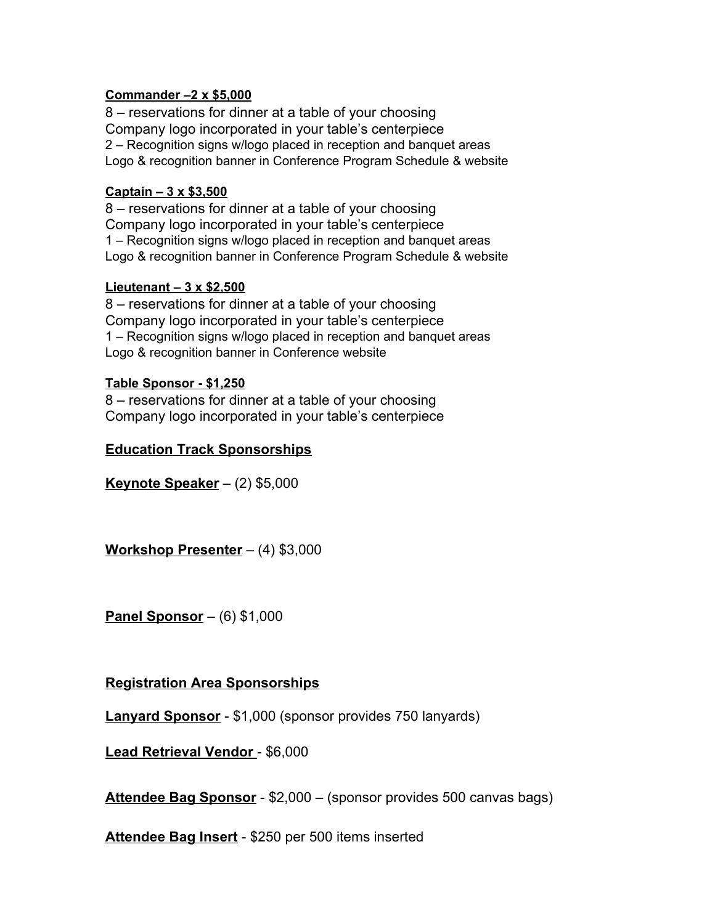## **Commander –2 x \$5,000**

8 – reservations for dinner at a table of your choosing Company logo incorporated in your table's centerpiece 2 – Recognition signs w/logo placed in reception and banquet areas Logo & recognition banner in Conference Program Schedule & website

### **Captain – 3 x \$3,500**

8 – reservations for dinner at a table of your choosing Company logo incorporated in your table's centerpiece 1 – Recognition signs w/logo placed in reception and banquet areas Logo & recognition banner in Conference Program Schedule & website

## **Lieutenant – 3 x \$2,500**

8 – reservations for dinner at a table of your choosing Company logo incorporated in your table's centerpiece 1 – Recognition signs w/logo placed in reception and banquet areas Logo & recognition banner in Conference website

## **Table Sponsor - \$1,250**

8 – reservations for dinner at a table of your choosing Company logo incorporated in your table's centerpiece

# **Education Track Sponsorships**

**Keynote Speaker** – (2) \$5,000

**Workshop Presenter** – (4) \$3,000

**Panel Sponsor** – (6) \$1,000

# **Registration Area Sponsorships**

**Lanyard Sponsor** - \$1,000 (sponsor provides 750 lanyards)

**Lead Retrieval Vendor** - \$6,000

**Attendee Bag Sponsor** - \$2,000 – (sponsor provides 500 canvas bags)

**Attendee Bag Insert** - \$250 per 500 items inserted